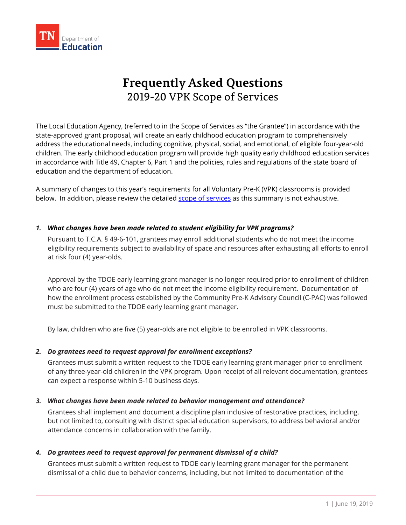

# **Frequently Asked Questions** 2019-20 VPK Scope of Services

The Local Education Agency, (referred to in the Scope of Services as "the Grantee") in accordance with the state-approved grant proposal, will create an early childhood education program to comprehensively address the educational needs, including cognitive, physical, social, and emotional, of eligible four-year-old children. The early childhood education program will provide high quality early childhood education services in accordance with Title 49, Chapter 6, Part 1 and the policies, rules and regulations of the state board of education and the department of education.

A summary of changes to this year's requirements for all Voluntary Pre-K (VPK) classrooms is provided below. In addition, please review the detailed [scope of services](https://www.tn.gov/content/dam/tn/education/early-learning/pre-k/prek_scope_of_services.pdf) as this summary is not exhaustive.

# *1. What changes have been made related to student eligibility for VPK programs?*

Pursuant to T.C.A. § 49-6-101, grantees may enroll additional students who do not meet the income eligibility requirements subject to availability of space and resources after exhausting all efforts to enroll at risk four (4) year-olds.

Approval by the TDOE early learning grant manager is no longer required prior to enrollment of children who are four (4) years of age who do not meet the income eligibility requirement. Documentation of how the enrollment process established by the Community Pre-K Advisory Council (C-PAC) was followed must be submitted to the TDOE early learning grant manager.

By law, children who are five (5) year-olds are not eligible to be enrolled in VPK classrooms.

# *2. Do grantees need to request approval for enrollment exceptions?*

Grantees must submit a written request to the TDOE early learning grant manager prior to enrollment of any three-year-old children in the VPK program. Upon receipt of all relevant documentation, grantees can expect a response within 5-10 business days.

# *3. What changes have been made related to behavior management and attendance?*

Grantees shall implement and document a discipline plan inclusive of restorative practices, including, but not limited to, consulting with district special education supervisors, to address behavioral and/or attendance concerns in collaboration with the family.

# *4. Do grantees need to request approval for permanent dismissal of a child?*

Grantees must submit a written request to TDOE early learning grant manager for the permanent dismissal of a child due to behavior concerns, including, but not limited to documentation of the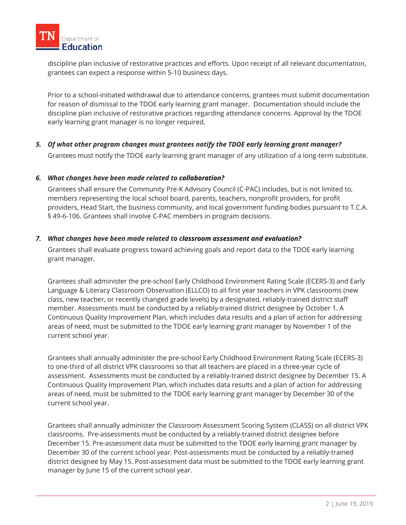

discipline plan inclusive of restorative practices and efforts. Upon receipt of all relevant documentation, grantees can expect a response within 5-10 business days.

Prior to a school-initiated withdrawal due to attendance concerns, grantees must submit documentation for reason of dismissal to the TDOE early learning grant manager. Documentation should include the discipline plan inclusive of restorative practices regarding attendance concerns. Approval by the TDOE early learning grant manager is no longer required.

*5. Of what other program changes must grantees notify the TDOE early learning grant manager?*

Grantees must notify the TDOE early learning grant manager of any utilization of a long-term substitute.

#### *6. What changes have been made related to collaboration?*

Grantees shall ensure the Community Pre-K Advisory Council (C-PAC) includes, but is not limited to, members representing the local school board, parents, teachers, nonprofit providers, for profit providers, Head Start, the business community, and local government funding bodies pursuant to T.C.A. § 49-6-106. Grantees shall involve C-PAC members in program decisions.

#### *7. What changes have been made related to classroom assessment and evaluation?*

Grantees shall evaluate progress toward achieving goals and report data to the TDOE early learning grant manager.

Grantees shall administer the pre-school Early Childhood Environment Rating Scale (ECERS-3) and Early Language & Literacy Classroom Observation (ELLCO) to all first year teachers in VPK classrooms (new class, new teacher, or recently changed grade levels) by a designated, reliably-trained district staff member. Assessments must be conducted by a reliably-trained district designee by October 1. A Continuous Quality Improvement Plan, which includes data results and a plan of action for addressing areas of need, must be submitted to the TDOE early learning grant manager by November 1 of the current school year.

Grantees shall annually administer the pre-school Early Childhood Environment Rating Scale (ECERS-3) to one-third of all district VPK classrooms so that all teachers are placed in a three-year cycle of assessment. Assessments must be conducted by a reliably-trained district designee by December 15. A Continuous Quality Improvement Plan, which includes data results and a plan of action for addressing areas of need, must be submitted to the TDOE early learning grant manager by December 30 of the current school year.

Grantees shall annually administer the Classroom Assessment Scoring System (CLASS) on all district VPK classrooms. Pre-assessments must be conducted by a reliably-trained district designee before December 15. Pre-assessment data must be submitted to the TDOE early learning grant manager by December 30 of the current school year. Post-assessments must be conducted by a reliably-trained district designee by May 15. Post-assessment data must be submitted to the TDOE early learning grant manager by June 15 of the current school year.